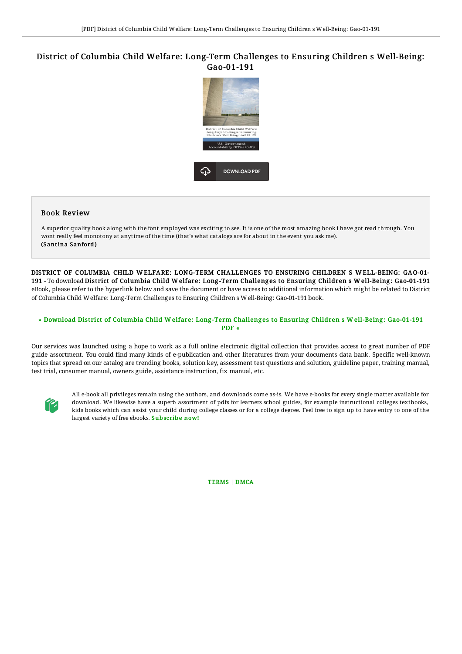## District of Columbia Child Welfare: Long-Term Challenges to Ensuring Children s Well-Being: Gao-01-191



## Book Review

A superior quality book along with the font employed was exciting to see. It is one of the most amazing book i have got read through. You wont really feel monotony at anytime of the time (that's what catalogs are for about in the event you ask me). (Santina Sanford)

DISTRICT OF COLUMBIA CHILD W ELFARE: LONG-TERM CHALLENGES TO ENSURING CHILDREN S W ELL-BEING: GAO-01- 191 - To download District of Columbia Child Welfare: Long-Term Challenges to Ensuring Children s Well-Being: Gao-01-191 eBook, please refer to the hyperlink below and save the document or have access to additional information which might be related to District of Columbia Child Welfare: Long-Term Challenges to Ensuring Children s Well-Being: Gao-01-191 book.

## » Download District of Columbia Child Welfare: Long-Term Challenges to Ensuring Children s Well-Being: [Gao-01-191](http://techno-pub.tech/district-of-columbia-child-welfare-long-term-cha.html) PDF «

Our services was launched using a hope to work as a full online electronic digital collection that provides access to great number of PDF guide assortment. You could find many kinds of e-publication and other literatures from your documents data bank. Specific well-known topics that spread on our catalog are trending books, solution key, assessment test questions and solution, guideline paper, training manual, test trial, consumer manual, owners guide, assistance instruction, fix manual, etc.



All e-book all privileges remain using the authors, and downloads come as-is. We have e-books for every single matter available for download. We likewise have a superb assortment of pdfs for learners school guides, for example instructional colleges textbooks, kids books which can assist your child during college classes or for a college degree. Feel free to sign up to have entry to one of the largest variety of free ebooks. [Subscribe](http://techno-pub.tech/district-of-columbia-child-welfare-long-term-cha.html) now!